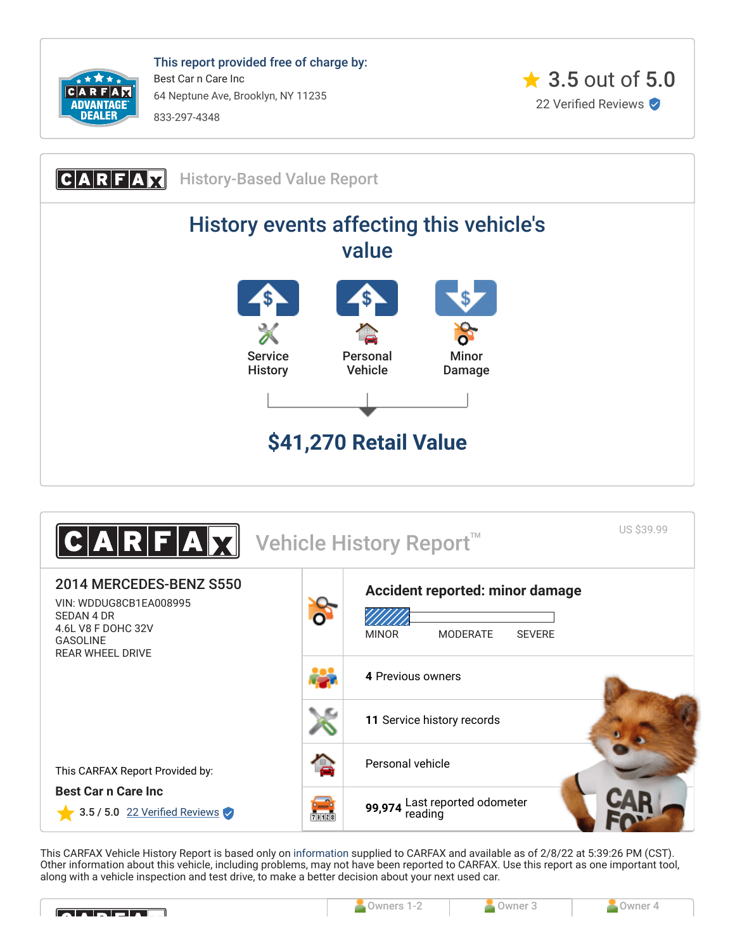

This report provided free of charge by: Best Car n Care Inc 64 Neptune Ave, Brooklyn, NY 11235 833-297-4348







This CARFAX Vehicle History Report is based only on [information](http://www.carfax.com/company/vhr-data-sources) supplied to CARFAX and available as of 2/8/22 at 5:39:26 PM (CST). Other information about this vehicle, including problems, may not have been reported to CARFAX. Use this report as one important tool, along with a vehicle inspection and test drive, to make a better decision about your next used car.

<span id="page-0-0"></span>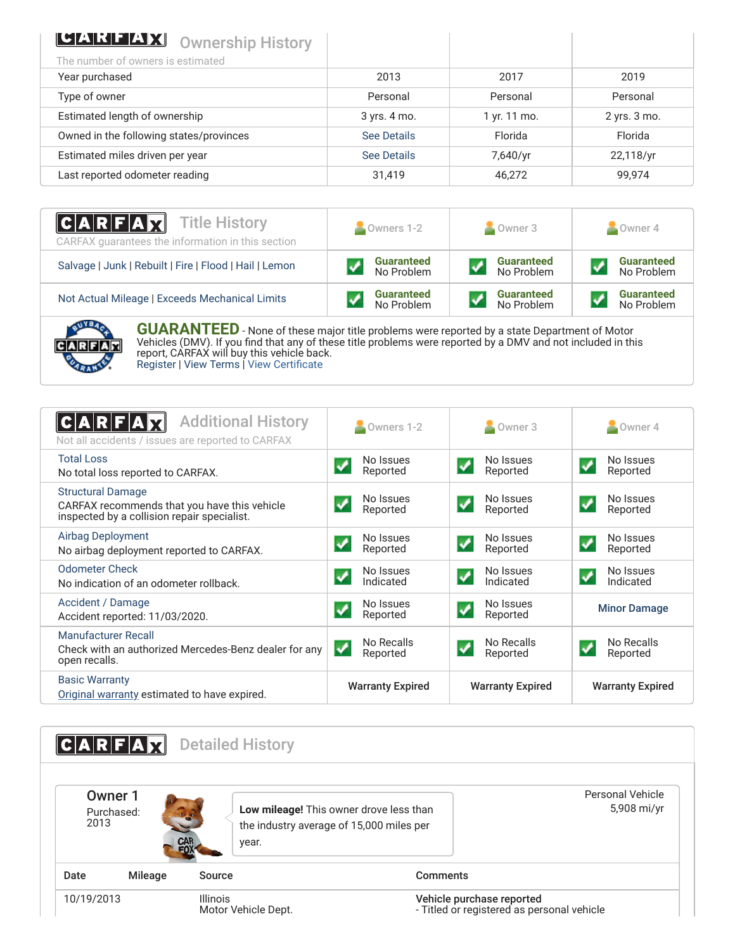| <b>LUARHEAX</b><br><b>Ownership History</b> |              |              |                  |
|---------------------------------------------|--------------|--------------|------------------|
| The number of owners is estimated           |              |              |                  |
| Year purchased                              | 2013         | 2017         | 2019             |
| Type of owner                               | Personal     | Personal     | Personal         |
| Estimated length of ownership               | 3 yrs. 4 mo. | 1 yr. 11 mo. | $2$ yrs. $3$ mo. |
| Owned in the following states/provinces     | See Details  | Florida      | Florida          |
| Estimated miles driven per year             | See Details  | 7,640/yr     | 22,118/yr        |
| Last reported odometer reading              | 31.419       | 46,272       | 99,974           |

| <b>CARFAX</b> Title History<br>CARFAX quarantees the information in this section | $\bullet$ Owners 1-2            | Owner 3                         | Owner 4                         |  |
|----------------------------------------------------------------------------------|---------------------------------|---------------------------------|---------------------------------|--|
| Salvage   Junk   Rebuilt   Fire   Flood   Hail   Lemon                           | <b>Guaranteed</b><br>No Problem | <b>Guaranteed</b><br>No Problem | <b>Guaranteed</b><br>No Problem |  |
| Not Actual Mileage   Exceeds Mechanical Limits                                   | <b>Guaranteed</b><br>No Problem | <b>Guaranteed</b><br>No Problem | <b>Guaranteed</b><br>No Problem |  |



**GUARANTEED** - None of these major title problems were reported by a state Department of Motor Vehicles (DMV). If you find that any of these title problems were reported by a DMV and not included in this report, CARFAX will buy this vehicle back. [Register](https://www.carfax.com/Service/bbg) | [View Terms](http://www.carfaxonline.com/legal/bbgTerms) | [View Certificate](https://www.carfaxonline.com/vhrs/WDDUG8CB1EA008995)

<span id="page-1-0"></span>

| <b>Additional History</b><br>C A R F A<br>Not all accidents / issues are reported to CARFAX                             | Owners 1-2                                           | Owner 3                                        | Owner 4                                             |
|-------------------------------------------------------------------------------------------------------------------------|------------------------------------------------------|------------------------------------------------|-----------------------------------------------------|
| <b>Total Loss</b><br>No total loss reported to CARFAX.                                                                  | No Issues<br>Reported                                | No Issues<br>Reported                          | No Issues<br>✔<br>Reported                          |
| <b>Structural Damage</b><br>CARFAX recommends that you have this vehicle<br>inspected by a collision repair specialist. | No Issues<br>$\blacktriangledown$<br>Reported        | No Issues<br>Reported                          | No Issues<br>$\boldsymbol{\mathcal{F}}$<br>Reported |
| <b>Airbag Deployment</b><br>No airbag deployment reported to CARFAX.                                                    | No Issues<br>$\overline{\mathbf{v}}$<br>Reported     | No Issues<br>$\blacklozenge$<br>Reported       | No Issues<br>$\blacklozenge$<br>Reported            |
| <b>Odometer Check</b><br>No indication of an odometer rollback.                                                         | No Issues<br>$\boldsymbol{\mathcal{N}}$<br>Indicated | No Issues<br>$\blacktriangledown$<br>Indicated | No Issues<br>$\blacktriangledown$<br>Indicated      |
| Accident / Damage<br>Accident reported: 11/03/2020.                                                                     | No Issues<br>$\overline{\mathbf{v}}$<br>Reported     | No Issues<br>Reported                          | <b>Minor Damage</b>                                 |
| Manufacturer Recall<br>Check with an authorized Mercedes-Benz dealer for any<br>open recalls.                           | No Recalls<br>✓<br>Reported                          | No Recalls<br>Reported                         | No Recalls<br>$\blacktriangledown$<br>Reported      |
| <b>Basic Warranty</b><br>Original warranty estimated to have expired.                                                   | <b>Warranty Expired</b>                              | <b>Warranty Expired</b>                        | <b>Warranty Expired</b>                             |

<span id="page-1-2"></span><span id="page-1-1"></span>

|            | ZWR JE                |                   | <b>Detailed History</b>                                                                      |                                                                         |                                 |
|------------|-----------------------|-------------------|----------------------------------------------------------------------------------------------|-------------------------------------------------------------------------|---------------------------------|
| 2013       | Owner 1<br>Purchased: | <b>CAR</b><br>FOX | Low mileage! This owner drove less than<br>the industry average of 15,000 miles per<br>year. |                                                                         | Personal Vehicle<br>5,908 mi/yr |
| Date       | Mileage               | Source            |                                                                                              | <b>Comments</b>                                                         |                                 |
| 10/19/2013 |                       | <b>Illinois</b>   | Motor Vehicle Dept.                                                                          | Vehicle purchase reported<br>- Titled or registered as personal vehicle |                                 |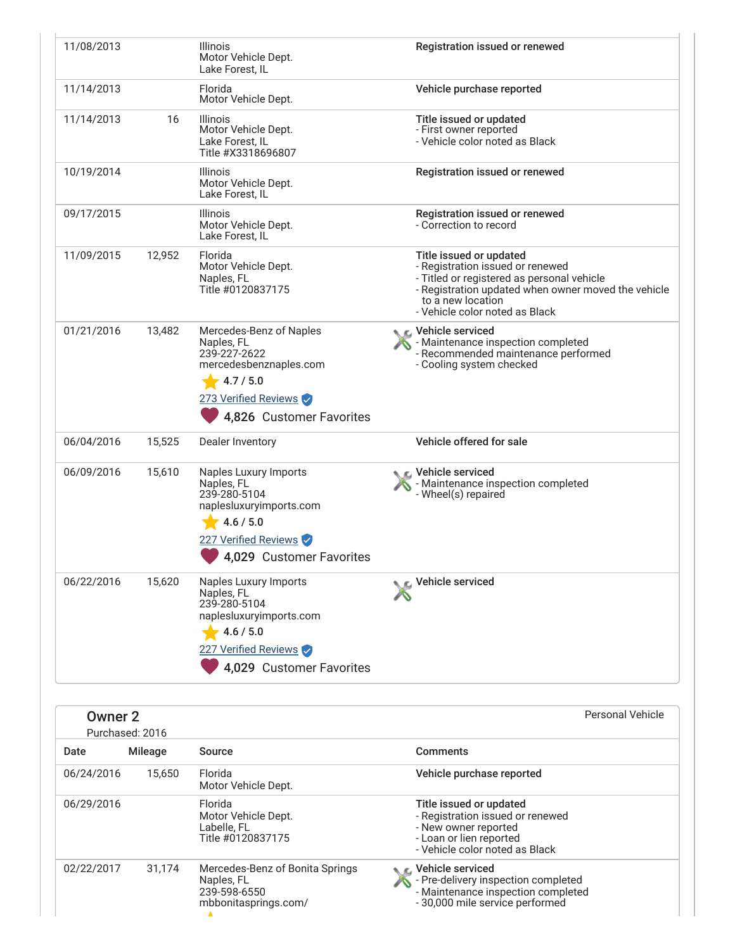| 11/08/2013 |        | <b>Illinois</b><br>Motor Vehicle Dept.<br>Lake Forest, IL                                                                                              | Registration issued or renewed                                                                                                                                                                                          |
|------------|--------|--------------------------------------------------------------------------------------------------------------------------------------------------------|-------------------------------------------------------------------------------------------------------------------------------------------------------------------------------------------------------------------------|
| 11/14/2013 |        | Florida<br>Motor Vehicle Dept.                                                                                                                         | Vehicle purchase reported                                                                                                                                                                                               |
| 11/14/2013 | 16     | <b>Illinois</b><br>Motor Vehicle Dept.<br>Lake Forest, IL<br>Title #X3318696807                                                                        | Title issued or updated<br>- First owner reported<br>- Vehicle color noted as Black                                                                                                                                     |
| 10/19/2014 |        | <b>Illinois</b><br>Motor Vehicle Dept.<br>Lake Forest, IL                                                                                              | Registration issued or renewed                                                                                                                                                                                          |
| 09/17/2015 |        | <b>Illinois</b><br>Motor Vehicle Dept.<br>Lake Forest, IL                                                                                              | Registration issued or renewed<br>- Correction to record                                                                                                                                                                |
| 11/09/2015 | 12,952 | Florida<br>Motor Vehicle Dept.<br>Naples, FL<br>Title #0120837175                                                                                      | Title issued or updated<br>- Registration issued or renewed<br>- Titled or registered as personal vehicle<br>- Registration updated when owner moved the vehicle<br>to a new location<br>- Vehicle color noted as Black |
| 01/21/2016 | 13,482 | Mercedes-Benz of Naples<br>Naples, FL<br>239-227-2622<br>mercedesbenznaples.com<br>4.7 / 5.0<br>273 Verified Reviews<br>4,826 Customer Favorites       | <b>NE</b> Vehicle serviced<br>- Maintenance inspection completed<br>- Recommended maintenance performed<br>- Cooling system checked                                                                                     |
| 06/04/2016 | 15,525 | Dealer Inventory                                                                                                                                       | Vehicle offered for sale                                                                                                                                                                                                |
| 06/09/2016 | 15,610 | Naples Luxury Imports<br>Naples, FL<br>239-280-5104<br>naplesluxuryimports.com<br>4.6 / 5.0<br>227 Verified Reviews<br>4,029 Customer Favorites        | C Vehicle serviced<br>- Maintenance inspection completed<br>- Wheel(s) repaired                                                                                                                                         |
| 06/22/2016 | 15,620 | <b>Naples Luxury Imports</b><br>Naples, FL<br>239-280-5104<br>naplesluxuryimports.com<br>4.6 / 5.0<br>227 Verified Reviews<br>4,029 Customer Favorites | Vehicle serviced                                                                                                                                                                                                        |

| Owner 2<br>Purchased: 2016 | Personal Vehicle |                                                                                       |                                                                                                                                                  |
|----------------------------|------------------|---------------------------------------------------------------------------------------|--------------------------------------------------------------------------------------------------------------------------------------------------|
| Date                       | Mileage          | Source                                                                                | <b>Comments</b>                                                                                                                                  |
| 06/24/2016                 | 15.650           | Florida<br>Motor Vehicle Dept.                                                        | Vehicle purchase reported                                                                                                                        |
| 06/29/2016                 |                  | Florida<br>Motor Vehicle Dept.<br>Labelle, FL<br>Title #0120837175                    | Title issued or updated<br>- Registration issued or renewed<br>- New owner reported<br>- Loan or lien reported<br>- Vehicle color noted as Black |
| 02/22/2017                 | 31,174           | Mercedes-Benz of Bonita Springs<br>Naples, FL<br>239-598-6550<br>mbbonitasprings.com/ | Vehicle serviced<br>- Pre-delivery inspection completed<br>- Maintenance inspection completed<br>- 30,000 mile service performed                 |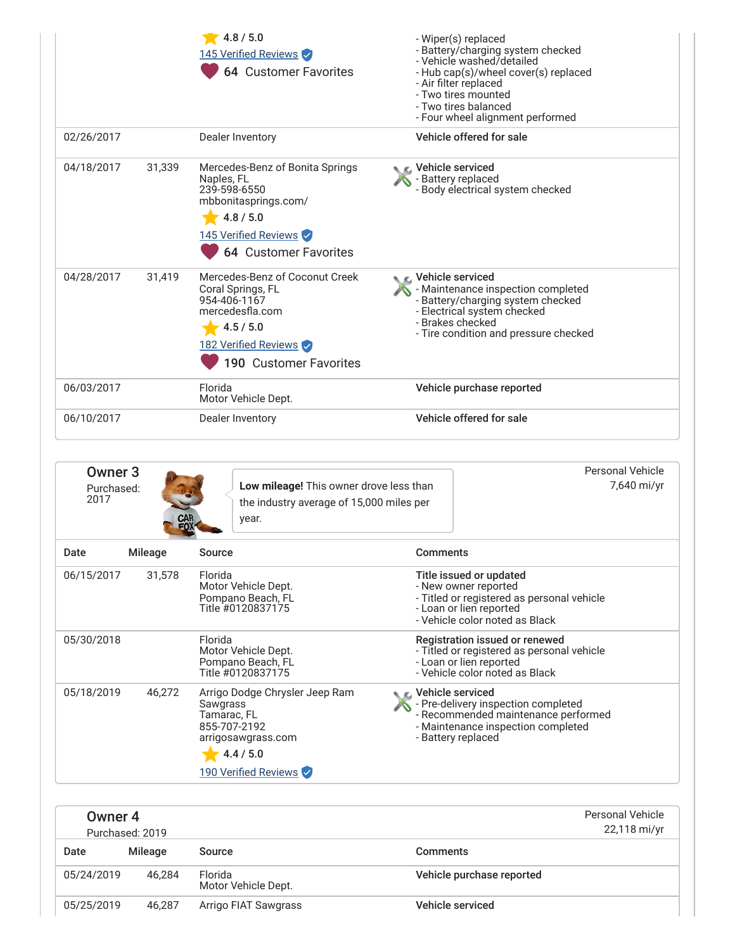|            |        | 4.8 / 5.0<br>145 Verified Reviews<br><b>64 Customer Favorites</b>                                                                                     | - Wiper(s) replaced<br>- Battery/charging system checked<br>- Vehicle washed/detailed<br>- Hub cap(s)/wheel cover(s) replaced<br>- Air filter replaced<br>- Two tires mounted<br>- Two tires balanced<br>- Four wheel alignment performed |
|------------|--------|-------------------------------------------------------------------------------------------------------------------------------------------------------|-------------------------------------------------------------------------------------------------------------------------------------------------------------------------------------------------------------------------------------------|
| 02/26/2017 |        | Dealer Inventory                                                                                                                                      | Vehicle offered for sale                                                                                                                                                                                                                  |
| 04/18/2017 | 31,339 | Mercedes-Benz of Bonita Springs<br>Naples, FL<br>239-598-6550<br>mbbonitasprings.com/<br>4.8 / 5.0<br>145 Verified Reviews<br>64 Customer Favorites   | Vehicle serviced<br><b>Battery replaced</b><br>- Body electrical system checked                                                                                                                                                           |
| 04/28/2017 | 31,419 | Mercedes-Benz of Coconut Creek<br>Coral Springs, FL<br>954-406-1167<br>mercedesfla.com<br>4.5 / 5.0<br>182 Verified Reviews<br>190 Customer Favorites | Vehicle serviced<br>- Maintenance inspection completed<br>- Battery/charging system checked<br>- Electrical system checked<br>- Brakes checked<br>- Tire condition and pressure checked                                                   |
| 06/03/2017 |        | Florida<br>Motor Vehicle Dept.                                                                                                                        | Vehicle purchase reported                                                                                                                                                                                                                 |
| 06/10/2017 |        | Dealer Inventory                                                                                                                                      | Vehicle offered for sale                                                                                                                                                                                                                  |

| Owner <sub>3</sub><br>Purchased:<br>2017 |         | <b>Low mileage!</b> This owner drove less than<br>the industry average of 15,000 miles per<br><b>CAR</b><br>FOX<br>year.             |                                                                                                                        | Personal Vehicle<br>7,640 mi/yr            |
|------------------------------------------|---------|--------------------------------------------------------------------------------------------------------------------------------------|------------------------------------------------------------------------------------------------------------------------|--------------------------------------------|
| Date                                     | Mileage | Source                                                                                                                               | <b>Comments</b>                                                                                                        |                                            |
| 06/15/2017                               | 31,578  | Florida<br>Motor Vehicle Dept.<br>Pompano Beach, FL<br>Title #0120837175                                                             | Title issued or updated<br>- New owner reported<br>- Loan or lien reported<br>- Vehicle color noted as Black           | - Titled or registered as personal vehicle |
| 05/30/2018                               |         | Florida<br>Motor Vehicle Dept.<br>Pompano Beach, FL<br>Title #0120837175                                                             | Registration issued or renewed<br>- Loan or lien reported<br>- Vehicle color noted as Black                            | - Titled or registered as personal vehicle |
| 05/18/2019                               | 46,272  | Arrigo Dodge Chrysler Jeep Ram<br>Sawgrass<br>Tamarac, FL<br>855-707-2192<br>arrigosawgrass.com<br>4.4 / 5.0<br>190 Verified Reviews | C. Vehicle serviced<br>- Pre-delivery inspection completed<br>- Maintenance inspection completed<br>- Battery replaced | - Recommended maintenance performed        |

<span id="page-3-0"></span>

| Owner 4    | Purchased: 2019 | Personal Vehicle<br>22,118 mi/yr |                           |
|------------|-----------------|----------------------------------|---------------------------|
| Date       | Mileage         | Source                           | <b>Comments</b>           |
| 05/24/2019 | 46.284          | Florida<br>Motor Vehicle Dept.   | Vehicle purchase reported |
| 05/25/2019 | 46.287          | Arrigo FIAT Sawgrass             | Vehicle serviced          |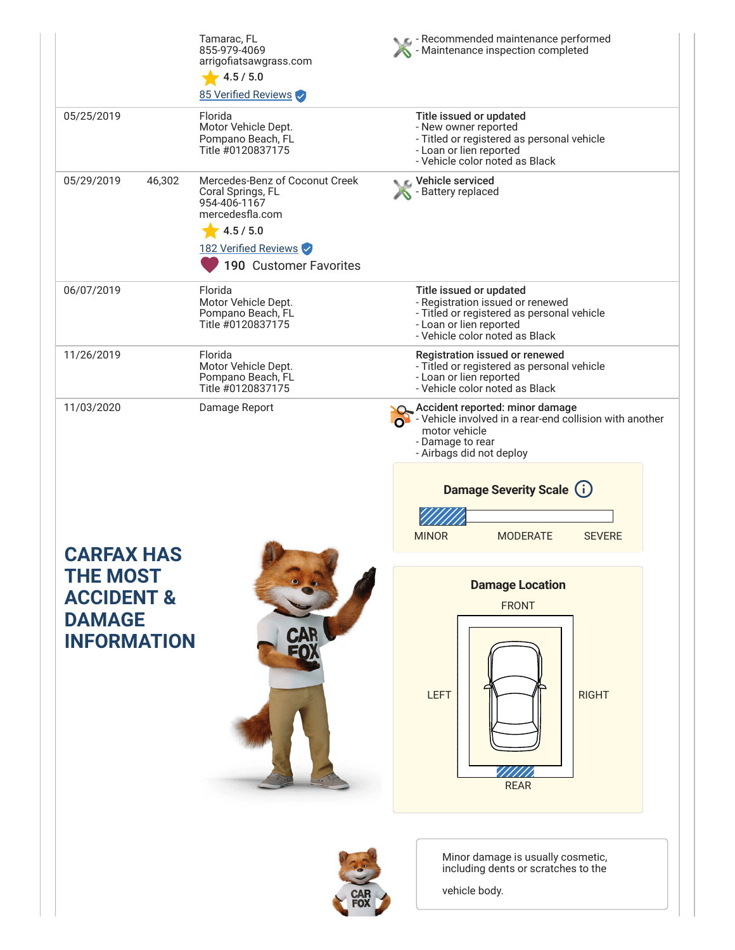|                                                                                                      | Tamarac, FL<br>855-979-4069<br>arrigofiatsawgrass.com<br>4.5 / 5.0<br>85 Verified Reviews                                                             | Recommended maintenance performed<br>Maintenance inspection completed                                                                                                  |
|------------------------------------------------------------------------------------------------------|-------------------------------------------------------------------------------------------------------------------------------------------------------|------------------------------------------------------------------------------------------------------------------------------------------------------------------------|
| 05/25/2019                                                                                           | Florida<br>Motor Vehicle Dept.<br>Pompano Beach, FL<br>Title #0120837175                                                                              | Title issued or updated<br>- New owner reported<br>- Titled or registered as personal vehicle<br>- Loan or lien reported<br>- Vehicle color noted as Black             |
| 05/29/2019<br>46,302                                                                                 | Mercedes-Benz of Coconut Creek<br>Coral Springs, FL<br>954-406-1167<br>mercedesfla.com<br>4.5 / 5.0<br>182 Verified Reviews<br>190 Customer Favorites | Vehicle serviced<br>- Battery replaced                                                                                                                                 |
| 06/07/2019                                                                                           | Florida<br>Motor Vehicle Dept.<br>Pompano Beach, FL<br>Title #0120837175                                                                              | Title issued or updated<br>- Registration issued or renewed<br>- Titled or registered as personal vehicle<br>- Loan or lien reported<br>- Vehicle color noted as Black |
| 11/26/2019                                                                                           | Florida<br>Motor Vehicle Dept.<br>Pompano Beach, FL<br>Title #0120837175                                                                              | Registration issued or renewed<br>- Titled or registered as personal vehicle<br>- Loan or lien reported<br>- Vehicle color noted as Black                              |
| 11/03/2020                                                                                           | Damage Report                                                                                                                                         | Accident reported: minor damage<br>$\Omega$ - Vehicle involved in a rear-end collision with another<br>motor vehicle<br>- Damage to rear<br>- Airbags did not deploy   |
|                                                                                                      |                                                                                                                                                       | Damage Severity Scale (i)<br><b>MINOR</b><br><b>MODERATE</b><br><b>SEVERE</b>                                                                                          |
| <b>CARFAX HAS</b><br><b>THE MOST</b><br><b>ACCIDENT &amp;</b><br><b>DAMAGE</b><br><b>INFORMATION</b> | <b>CAR</b>                                                                                                                                            | <b>Damage Location</b><br><b>FRONT</b><br><b>LEFT</b><br><b>RIGHT</b><br><b>REAR</b>                                                                                   |
|                                                                                                      |                                                                                                                                                       | Minor damage is usually cosmetic,<br>including dents or scratches to the<br>vehicle body.                                                                              |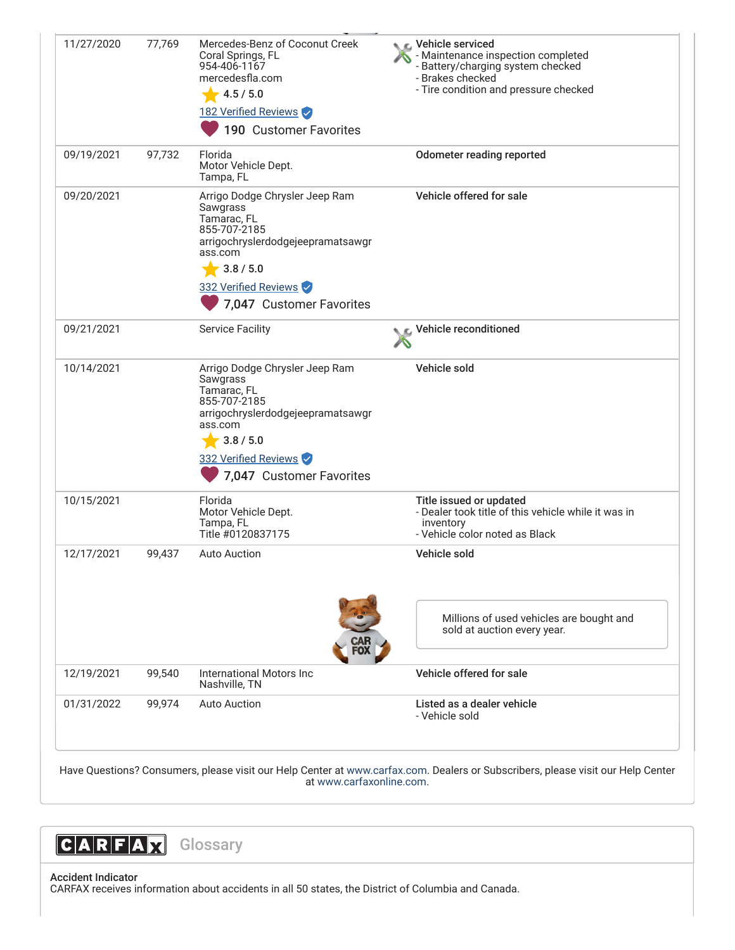| 11/27/2020 | 77,769 | Mercedes-Benz of Coconut Creek<br>Coral Springs, FL<br>954-406-1167<br>mercedesfla.com<br>4.5 / 5.0<br>182 Verified Reviews<br>190 Customer Favorites                                                    | <b>NE</b> Vehicle serviced<br>- Maintenance inspection completed<br>- Battery/charging system checked<br>- Brakes checked<br>- Tire condition and pressure checked |
|------------|--------|----------------------------------------------------------------------------------------------------------------------------------------------------------------------------------------------------------|--------------------------------------------------------------------------------------------------------------------------------------------------------------------|
| 09/19/2021 | 97,732 | Florida<br>Motor Vehicle Dept.<br>Tampa, FL                                                                                                                                                              | <b>Odometer reading reported</b>                                                                                                                                   |
| 09/20/2021 |        | Arrigo Dodge Chrysler Jeep Ram<br>Sawgrass<br>Tamarac, FL<br>855-707-2185<br>arrigochryslerdodgejeepramatsawgr<br>ass.com<br>3.8 / 5.0<br>332 Verified Reviews                                           | Vehicle offered for sale                                                                                                                                           |
|            |        | 7,047 Customer Favorites                                                                                                                                                                                 |                                                                                                                                                                    |
| 09/21/2021 |        | <b>Service Facility</b>                                                                                                                                                                                  | Vehicle reconditioned                                                                                                                                              |
| 10/14/2021 |        | Arrigo Dodge Chrysler Jeep Ram<br>Sawgrass<br>Tamarac, FL<br>855-707-2185<br>arrigochryslerdodgejeepramatsawgr<br>ass.com<br>$\frac{1}{2}$ 3.8 / 5.0<br>332 Verified Reviews<br>7,047 Customer Favorites | Vehicle sold                                                                                                                                                       |
| 10/15/2021 |        | Florida<br>Motor Vehicle Dept.<br>Tampa, FL<br>Title #0120837175                                                                                                                                         | Title issued or updated<br>- Dealer took title of this vehicle while it was in<br>inventory<br>- Vehicle color noted as Black                                      |
| 12/17/2021 | 99,437 | <b>Auto Auction</b>                                                                                                                                                                                      | Vehicle sold                                                                                                                                                       |
|            |        |                                                                                                                                                                                                          | Millions of used vehicles are bought and<br>sold at auction every year.                                                                                            |
| 12/19/2021 | 99,540 | International Motors Inc<br>Nashville, TN                                                                                                                                                                | Vehicle offered for sale                                                                                                                                           |
|            | 99,974 | <b>Auto Auction</b>                                                                                                                                                                                      | Listed as a dealer vehicle                                                                                                                                         |

Have Questions? Consumers, please visit our Help Center at [www.carfax.com](http://www.carfax.com/help). Dealers or Subscribers, please visit our Help Center at [www.carfaxonline.com.](http://www.carfaxonline.com/)



Accident Indicator CARFAX receives information about accidents in all 50 states, the District of Columbia and Canada.